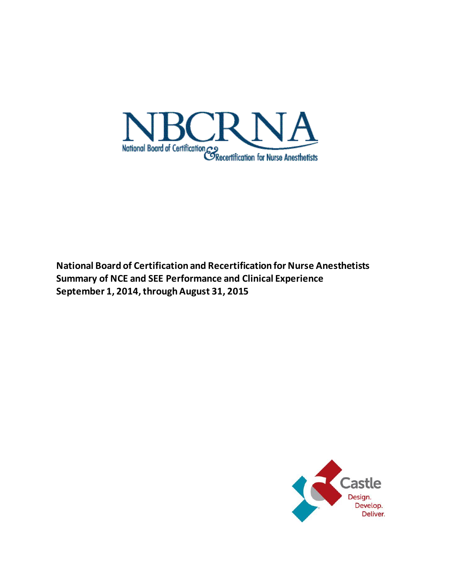

**National Board of Certification and Recertification for Nurse Anesthetists Summary of NCE and SEE Performance and Clinical Experience September 1, 2014,through August 31, 2015**

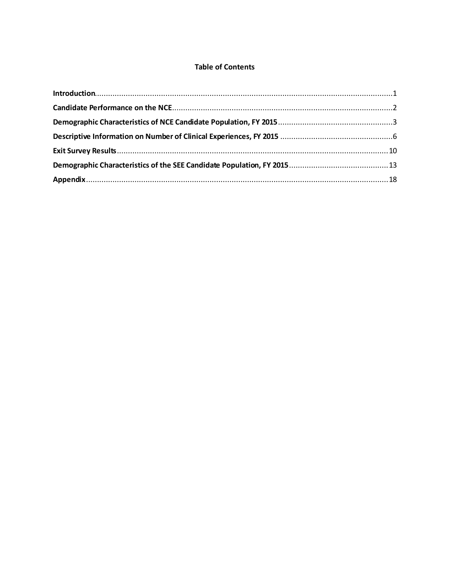# **Table of Contents**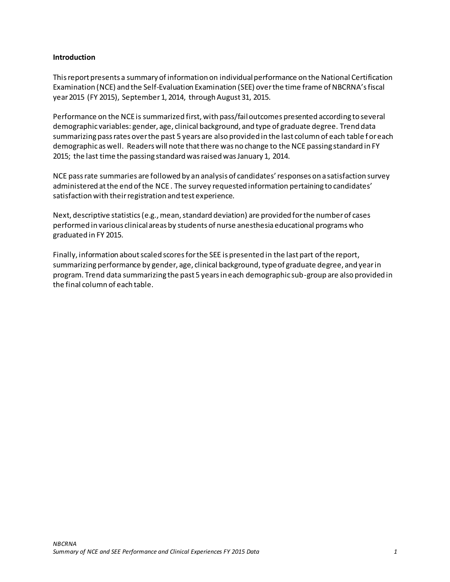### <span id="page-2-0"></span>**Introduction**

This report presents a summary of information on individualperformance on the National Certification Examination (NCE) and the Self-Evaluation Examination (SEE) over the time frame of NBCRNA's fiscal year 2015 (FY 2015), September 1, 2014, through August 31, 2015.

Performance on the NCE is summarized first, with pass/fail outcomes presented according to several demographic variables: gender, age, clinical background, and type of graduate degree. Trend data summarizing pass rates over the past 5 years are also provided in the last column of each table for each demographic as well. Readers will note that there was no change to the NCE passing standard in FY 2015; the last time the passing standard was raised was January 1, 2014.

NCE pass rate summaries are followed by an analysis of candidates' responses on a satisfaction survey administered at the end of the NCE . The survey requested information pertaining to candidates' satisfaction with their registration and test experience.

Next, descriptive statistics (e.g., mean, standard deviation) are provided for the number of cases performed in various clinical areas by students of nurse anesthesia educational programswho graduated in FY 2015.

Finally, information about scaled scores for the SEE is presented in the last part of the report, summarizing performance by gender, age, clinical background, type of graduate degree, and year in program. Trend data summarizing the past 5 years in each demographic sub-group are also provided in the final column of each table.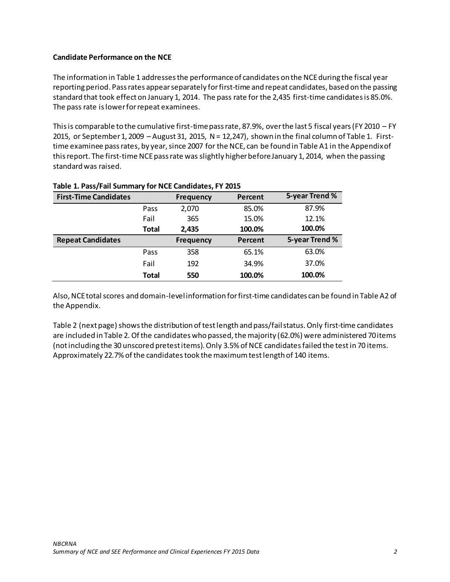## <span id="page-3-0"></span>**Candidate Performance on the NCE**

The information in Table 1 addresses the performance of candidates on the NCE during the fiscal year reporting period. Pass rates appear separately forfirst-time and repeat candidates, based on the passing standard that took effect on January 1, 2014. The pass rate for the 2,435 first-time candidates is 85.0%. The pass rate is lower for repeat examinees.

This is comparable to the cumulative first-time pass rate, 87.9%, over the last 5 fiscal years (FY 2010 – FY 2015, or September 1, 2009 – August 31, 2015,  $N = 12,247$ , shown in the final column of Table 1. Firsttime examinee pass rates, by year, since 2007 for the NCE, can be found in Table A1 in the Appendix of this report. The first-time NCE pass rate was slightly higher before January 1, 2014, when the passing standard was raised.

| <b>First-Time Candidates</b> |              | <b>Frequency</b> | Percent | 5-year Trend % |
|------------------------------|--------------|------------------|---------|----------------|
|                              | Pass         | 2,070            | 85.0%   | 87.9%          |
|                              | Fail         | 365              | 15.0%   | 12.1%          |
|                              | <b>Total</b> | 2,435            | 100.0%  | 100.0%         |
| <b>Repeat Candidates</b>     |              | <b>Frequency</b> | Percent | 5-year Trend % |
|                              | Pass         | 358              | 65.1%   | 63.0%          |
|                              | Fail         | 192              | 34.9%   | 37.0%          |
|                              | <b>Total</b> | 550              | 100.0%  | 100.0%         |

## **Table 1. Pass/Fail Summary for NCE Candidates, FY 2015**

Also, NCE total scores and domain-level information for first-time candidates can be found in Table A2 of the Appendix.

Table 2 (next page) shows the distribution of test length and pass/fail status. Only first-time candidates are included in Table 2. Of the candidates who passed, the majority (62.0%) were administered 70 items (not including the 30 unscored pretest items). Only 3.5% of NCE candidatesfailed the test in 70 items. Approximately 22.7% of the candidatestook the maximum test length of 140 items.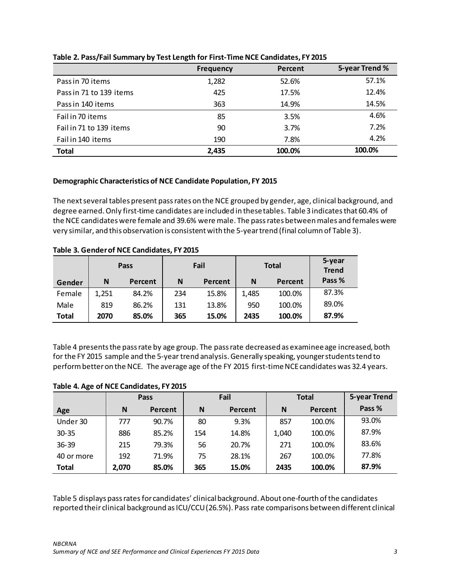|                         | <b>Frequency</b> | Percent | 5-year Trend % |
|-------------------------|------------------|---------|----------------|
| Pass in 70 items        | 1,282            | 52.6%   | 57.1%          |
| Pass in 71 to 139 items | 425              | 17.5%   | 12.4%          |
| Pass in 140 items       | 363              | 14.9%   | 14.5%          |
| Fail in 70 items        | 85               | 3.5%    | 4.6%           |
| Fail in 71 to 139 items | 90               | 3.7%    | 7.2%           |
| Fail in 140 items       | 190              | 7.8%    | 4.2%           |
| <b>Total</b>            | 2,435            | 100.0%  | 100.0%         |

## **Table 2. Pass/Fail Summary by Test Length for First-Time NCE Candidates, FY 2015**

# <span id="page-4-0"></span>**Demographic Characteristics of NCE Candidate Population, FY 2015**

The next several tables present pass rates on the NCE grouped by gender, age, clinical background, and degree earned. Only first-time candidates are included in these tables. Table 3 indicatesthat 60.4% of the NCE candidates were female and 39.6% were male. The pass rates between males and females were very similar, and this observation is consistent with the 5-year trend (final column of Table 3).

|              |       | <b>Pass</b> | Fail |         |       | <b>Total</b> | 5-year<br><b>Trend</b> |
|--------------|-------|-------------|------|---------|-------|--------------|------------------------|
| Gender       | N     | Percent     | N    | Percent | N     | Percent      | Pass %                 |
| Female       | 1,251 | 84.2%       | 234  | 15.8%   | 1,485 | 100.0%       | 87.3%                  |
| Male         | 819   | 86.2%       | 131  | 13.8%   | 950   | 100.0%       | 89.0%                  |
| <b>Total</b> | 2070  | 85.0%       | 365  | 15.0%   | 2435  | 100.0%       | 87.9%                  |

**Table 3. Gender of NCE Candidates, FY 2015**

Table 4 presents the pass rate by age group. The pass rate decreased as examinee age increased, both for the FY 2015 sample and the 5-year trend analysis. Generally speaking, younger students tend to perform better on the NCE. The average age of the FY 2015 first-time NCE candidates was 32.4 years.

# **Table 4. Age of NCE Candidates, FY 2015**

|              |       | Pass    | Fail |         | <b>Total</b> |         | 5-year Trend |
|--------------|-------|---------|------|---------|--------------|---------|--------------|
| Age          | N     | Percent | N    | Percent | N            | Percent | Pass %       |
| Under 30     | 777   | 90.7%   | 80   | 9.3%    | 857          | 100.0%  | 93.0%        |
| $30 - 35$    | 886   | 85.2%   | 154  | 14.8%   | 1,040        | 100.0%  | 87.9%        |
| $36 - 39$    | 215   | 79.3%   | 56   | 20.7%   | 271          | 100.0%  | 83.6%        |
| 40 or more   | 192   | 71.9%   | 75   | 28.1%   | 267          | 100.0%  | 77.8%        |
| <b>Total</b> | 2,070 | 85.0%   | 365  | 15.0%   | 2435         | 100.0%  | 87.9%        |

Table 5 displays pass rates for candidates' clinicalbackground. About one-fourth of the candidates reported their clinical background as ICU/CCU (26.5%). Pass rate comparisons between different clinical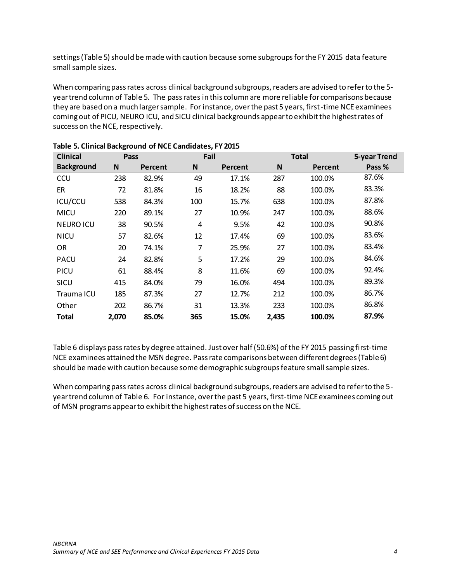settings (Table 5) should be made with caution because some subgroupsfor the FY 2015 data feature small sample sizes.

When comparing pass rates across clinical background subgroups, readers are advised to refer to the 5 year trend column of Table 5. The pass rates in this column are more reliable for comparisons because they are based on a much larger sample. For instance, over the past 5 years, first-time NCE examinees coming out of PICU, NEURO ICU, and SICU clinical backgrounds appear to exhibit the highest rates of success on the NCE, respectively.

| <b>Clinical</b>   | Pass  |         |              | Fail<br><b>Total</b> |       |         | 5-year Trend |
|-------------------|-------|---------|--------------|----------------------|-------|---------|--------------|
| <b>Background</b> | N     | Percent | $\mathsf{N}$ | Percent              | N     | Percent | Pass %       |
| CCU               | 238   | 82.9%   | 49           | 17.1%                | 287   | 100.0%  | 87.6%        |
| ER                | 72    | 81.8%   | 16           | 18.2%                | 88    | 100.0%  | 83.3%        |
| ICU/CCU           | 538   | 84.3%   | 100          | 15.7%                | 638   | 100.0%  | 87.8%        |
| <b>MICU</b>       | 220   | 89.1%   | 27           | 10.9%                | 247   | 100.0%  | 88.6%        |
| <b>NEURO ICU</b>  | 38    | 90.5%   | 4            | 9.5%                 | 42    | 100.0%  | 90.8%        |
| <b>NICU</b>       | 57    | 82.6%   | 12           | 17.4%                | 69    | 100.0%  | 83.6%        |
| OR                | 20    | 74.1%   | 7            | 25.9%                | 27    | 100.0%  | 83.4%        |
| <b>PACU</b>       | 24    | 82.8%   | 5            | 17.2%                | 29    | 100.0%  | 84.6%        |
| <b>PICU</b>       | 61    | 88.4%   | 8            | 11.6%                | 69    | 100.0%  | 92.4%        |
| SICU              | 415   | 84.0%   | 79           | 16.0%                | 494   | 100.0%  | 89.3%        |
| Trauma ICU        | 185   | 87.3%   | 27           | 12.7%                | 212   | 100.0%  | 86.7%        |
| Other             | 202   | 86.7%   | 31           | 13.3%                | 233   | 100.0%  | 86.8%        |
| Total             | 2,070 | 85.0%   | 365          | 15.0%                | 2,435 | 100.0%  | 87.9%        |

Table 6 displays pass rates by degree attained. Just over half (50.6%) of the FY 2015 passing first-time NCE examinees attained the MSN degree. Pass rate comparisons between different degrees(Table 6) should be made with caution because some demographic subgroups feature small sample sizes.

When comparing pass rates across clinical background subgroups, readers are advised to refer to the 5 year trend column of Table 6. For instance, over the past 5 years, first-time NCE examinees coming out of MSN programs appear to exhibit the highest rates of success on the NCE.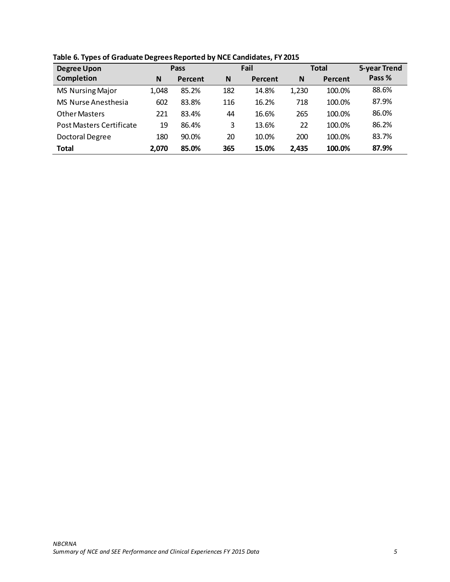| <b>Degree Upon</b>              | Pass  |         |     | Fail    |       | <b>Total</b> | 5-year Trend |
|---------------------------------|-------|---------|-----|---------|-------|--------------|--------------|
| <b>Completion</b>               | N     | Percent | N   | Percent | N     | Percent      | Pass %       |
| <b>MS Nursing Major</b>         | 1,048 | 85.2%   | 182 | 14.8%   | 1,230 | 100.0%       | 88.6%        |
| MS Nurse Anesthesia             | 602   | 83.8%   | 116 | 16.2%   | 718   | 100.0%       | 87.9%        |
| <b>Other Masters</b>            | 221   | 83.4%   | 44  | 16.6%   | 265   | 100.0%       | 86.0%        |
| <b>Post Masters Certificate</b> | 19    | 86.4%   | 3   | 13.6%   | 22    | 100.0%       | 86.2%        |
| <b>Doctoral Degree</b>          | 180   | 90.0%   | 20  | 10.0%   | 200   | 100.0%       | 83.7%        |
| <b>Total</b>                    | 2,070 | 85.0%   | 365 | 15.0%   | 2,435 | 100.0%       | 87.9%        |

**Table 6. Types of Graduate Degrees Reported by NCE Candidates, FY 2015**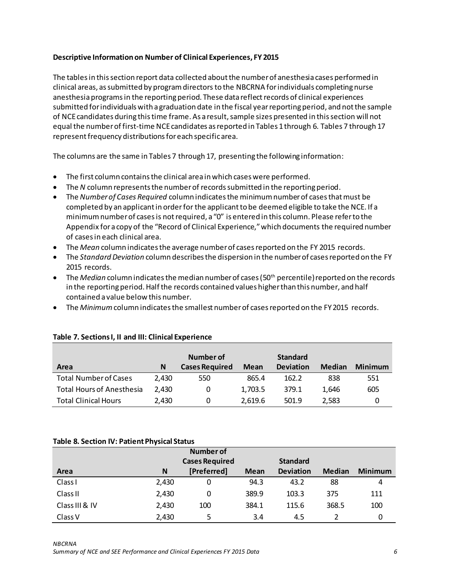## <span id="page-7-0"></span>**Descriptive Information on Number of Clinical Experiences, FY 2015**

The tables in this section report data collected about the number of anesthesia cases performed in clinical areas, as submitted by program directors to the NBCRNA for individuals completing nurse anesthesia programs in the reporting period. These data reflect records of clinical experiences submitted for individuals with a graduation date in the fiscal year reporting period, and not the sample of NCE candidates during this time frame. As a result, sample sizes presented in this section will not equal the numberof first-time NCE candidates as reported in Tables 1through 6. Tables 7 through 17 represent frequency distributions for each specific area.

The columns are the same in Tables 7 through 17, presenting the following information:

- The first column contains the clinical area in which cases were performed.
- The *N* column represents the number of recordssubmitted in the reporting period.
- The *Number of Cases Required* column indicates the minimum number of cases that must be completed by an applicant in order for the applicant to be deemed eligible to take the NCE. If a minimum number of cases is notrequired, a "0" is entered in this column. Please refer to the Appendix for a copy of the "Record of Clinical Experience," which documents the required number of cases in each clinical area.
- The *Mean* column indicates the average number of cases reported on the FY 2015 records.
- The *Standard Deviation* column describes the dispersion in the number of cases reported on the FY 2015 records.
- The *Median* column indicates the median number of cases (50th percentile) reported on the records in the reporting period. Half the records contained values higher than this number, and half contained a value below this number.
- The *Minimum* column indicates the smallest number of cases reported on the FY 2015 records.

|                                  | Number of |                       |         | <b>Standard</b>  |        |                |
|----------------------------------|-----------|-----------------------|---------|------------------|--------|----------------|
| Area                             | N         | <b>Cases Required</b> | Mean    | <b>Deviation</b> | Median | <b>Minimum</b> |
| <b>Total Number of Cases</b>     | 2.430     | 550                   | 865.4   | 162.2            | 838    | 551            |
| <b>Total Hours of Anesthesia</b> | 2.430     | 0                     | 1,703.5 | 379.1            | 1.646  | 605            |
| <b>Total Clinical Hours</b>      | 2,430     | 0                     | 2.619.6 | 501.9            | 2,583  |                |

## **Table 7. Sections I, II and III: Clinical Experience**

#### **Table 8. Section IV: Patient Physical Status**

|                     |       | Number of             |             |                  |               |                |
|---------------------|-------|-----------------------|-------------|------------------|---------------|----------------|
|                     |       | <b>Cases Required</b> |             | <b>Standard</b>  |               |                |
| Area                | N     | [Preferred]           | <b>Mean</b> | <b>Deviation</b> | <b>Median</b> | <b>Minimum</b> |
| Class <sub>1</sub>  | 2,430 | 0                     | 94.3        | 43.2             | 88            | 4              |
| Class <sub>II</sub> | 2,430 | 0                     | 389.9       | 103.3            | 375           | 111            |
| Class III & IV      | 2,430 | 100                   | 384.1       | 115.6            | 368.5         | 100            |
| Class <sub>V</sub>  | 2,430 | 5                     | 3.4         | 4.5              |               | 0              |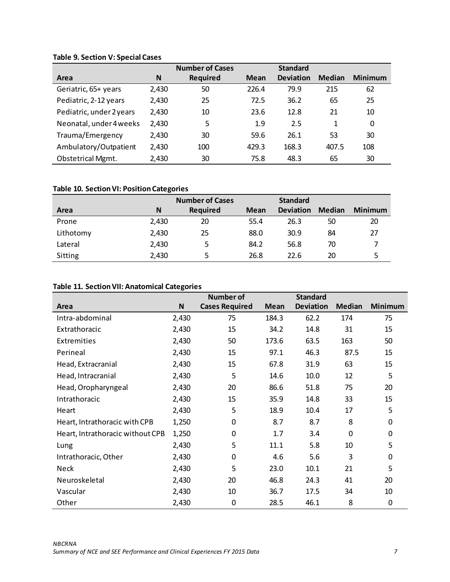# **Table 9. Section V: Special Cases**

|                          |       | <b>Number of Cases</b> |             | <b>Standard</b>  |               |                |
|--------------------------|-------|------------------------|-------------|------------------|---------------|----------------|
| Area                     | N     | <b>Required</b>        | <b>Mean</b> | <b>Deviation</b> | <b>Median</b> | <b>Minimum</b> |
| Geriatric, 65+ years     | 2,430 | 50                     | 226.4       | 79.9             | 215           | 62             |
| Pediatric, 2-12 years    | 2,430 | 25                     | 72.5        | 36.2             | 65            | 25             |
| Pediatric, under 2 years | 2,430 | 10                     | 23.6        | 12.8             | 21            | 10             |
| Neonatal, under 4 weeks  | 2,430 | 5                      | 1.9         | 2.5              | 1             | 0              |
| Trauma/Emergency         | 2,430 | 30                     | 59.6        | 26.1             | 53            | 30             |
| Ambulatory/Outpatient    | 2,430 | 100                    | 429.3       | 168.3            | 407.5         | 108            |
| <b>Obstetrical Mgmt.</b> | 2,430 | 30                     | 75.8        | 48.3             | 65            | 30             |

# **Table 10. Section VI: Position Categories**

|           |       | <b>Number of Cases</b> |      | <b>Standard</b>  |               |                |
|-----------|-------|------------------------|------|------------------|---------------|----------------|
| Area      | N     | Required               | Mean | <b>Deviation</b> | <b>Median</b> | <b>Minimum</b> |
| Prone     | 2,430 | 20                     | 55.4 | 26.3             | 50            | 20             |
| Lithotomy | 2,430 | 25                     | 88.0 | 30.9             | 84            | 27             |
| Lateral   | 2,430 | 5                      | 84.2 | 56.8             | 70            |                |
| Sitting   | 2,430 |                        | 26.8 | 22.6             | 20            | 5              |

# **Table 11. Section VII: Anatomical Categories**

|                                  |       | <b>Number of</b>      |             | <b>Standard</b>  |               |                |
|----------------------------------|-------|-----------------------|-------------|------------------|---------------|----------------|
| Area                             | N     | <b>Cases Required</b> | <b>Mean</b> | <b>Deviation</b> | <b>Median</b> | <b>Minimum</b> |
| Intra-abdominal                  | 2,430 | 75                    | 184.3       | 62.2             | 174           | 75             |
| Extrathoracic                    | 2,430 | 15                    | 34.2        | 14.8             | 31            | 15             |
| Extremities                      | 2,430 | 50                    | 173.6       | 63.5             | 163           | 50             |
| Perineal                         | 2,430 | 15                    | 97.1        | 46.3             | 87.5          | 15             |
| Head, Extracranial               | 2,430 | 15                    | 67.8        | 31.9             | 63            | 15             |
| Head, Intracranial               | 2,430 | 5                     | 14.6        | 10.0             | 12            | 5              |
| Head, Oropharyngeal              | 2,430 | 20                    | 86.6        | 51.8             | 75            | 20             |
| Intrathoracic                    | 2,430 | 15                    | 35.9        | 14.8             | 33            | 15             |
| Heart                            | 2,430 | 5                     | 18.9        | 10.4             | 17            | 5              |
| Heart, Intrathoracic with CPB    | 1,250 | 0                     | 8.7         | 8.7              | 8             | 0              |
| Heart, Intrathoracic without CPB | 1,250 | $\boldsymbol{0}$      | 1.7         | 3.4              | $\Omega$      | $\Omega$       |
| Lung                             | 2,430 | 5                     | 11.1        | 5.8              | 10            | 5              |
| Intrathoracic, Other             | 2,430 | $\boldsymbol{0}$      | 4.6         | 5.6              | 3             | 0              |
| <b>Neck</b>                      | 2,430 | 5                     | 23.0        | 10.1             | 21            | 5              |
| Neuroskeletal                    | 2,430 | 20                    | 46.8        | 24.3             | 41            | 20             |
| Vascular                         | 2,430 | 10                    | 36.7        | 17.5             | 34            | 10             |
| Other                            | 2,430 | $\boldsymbol{0}$      | 28.5        | 46.1             | 8             | 0              |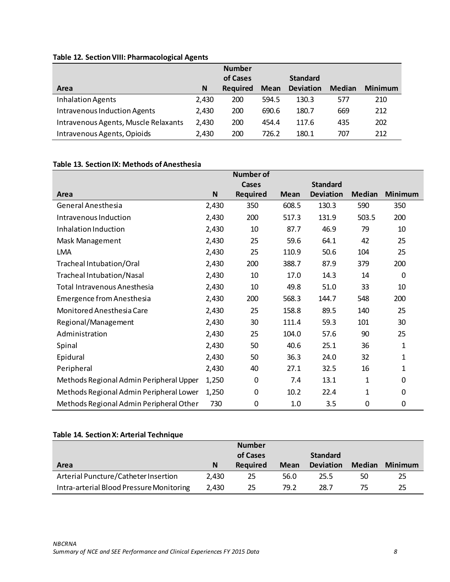# **Table 12. Section VIII: Pharmacological Agents**

|                                      |       | <b>Number</b>   |       |                  |               |                |
|--------------------------------------|-------|-----------------|-------|------------------|---------------|----------------|
|                                      |       | of Cases        |       | <b>Standard</b>  |               |                |
| Area                                 | N     | <b>Required</b> | Mean  | <b>Deviation</b> | <b>Median</b> | <b>Minimum</b> |
| Inhalation Agents                    | 2,430 | 200             | 594.5 | 130.3            | 577           | 210            |
| Intravenous Induction Agents         | 2,430 | 200             | 690.6 | 180.7            | 669           | 212            |
| Intravenous Agents, Muscle Relaxants | 2,430 | 200             | 454.4 | 117.6            | 435           | 202            |
| Intravenous Agents, Opioids          | 2,430 | 200             | 726.2 | 180.1            | 707           | 212            |

# **Table 13. Section IX: Methods of Anesthesia**

|                                         |       | <b>Number of</b> |             |                  |               |                |
|-----------------------------------------|-------|------------------|-------------|------------------|---------------|----------------|
|                                         |       | <b>Cases</b>     |             | <b>Standard</b>  |               |                |
| Area                                    | N     | <b>Required</b>  | <b>Mean</b> | <b>Deviation</b> | <b>Median</b> | <b>Minimum</b> |
| General Anesthesia                      | 2,430 | 350              | 608.5       | 130.3            | 590           | 350            |
| Intravenous Induction                   | 2,430 | 200              | 517.3       | 131.9            | 503.5         | 200            |
| Inhalation Induction                    | 2,430 | 10               | 87.7        | 46.9             | 79            | 10             |
| Mask Management                         | 2,430 | 25               | 59.6        | 64.1             | 42            | 25             |
| <b>LMA</b>                              | 2,430 | 25               | 110.9       | 50.6             | 104           | 25             |
| Tracheal Intubation/Oral                | 2,430 | 200              | 388.7       | 87.9             | 379           | 200            |
| Tracheal Intubation/Nasal               | 2,430 | 10               | 17.0        | 14.3             | 14            | 0              |
| Total Intravenous Anesthesia            | 2,430 | 10               | 49.8        | 51.0             | 33            | 10             |
| <b>Emergence from Anesthesia</b>        | 2,430 | 200              | 568.3       | 144.7            | 548           | 200            |
| Monitored Anesthesia Care               | 2,430 | 25               | 158.8       | 89.5             | 140           | 25             |
| Regional/Management                     | 2,430 | 30               | 111.4       | 59.3             | 101           | 30             |
| Administration                          | 2,430 | 25               | 104.0       | 57.6             | 90            | 25             |
| Spinal                                  | 2,430 | 50               | 40.6        | 25.1             | 36            | 1              |
| Epidural                                | 2,430 | 50               | 36.3        | 24.0             | 32            | 1              |
| Peripheral                              | 2,430 | 40               | 27.1        | 32.5             | 16            | 1              |
| Methods Regional Admin Peripheral Upper | 1,250 | 0                | 7.4         | 13.1             | 1             | 0              |
| Methods Regional Admin Peripheral Lower | 1,250 | $\Omega$         | 10.2        | 22.4             | 1             | 0              |
| Methods Regional Admin Peripheral Other | 730   | 0                | 1.0         | 3.5              | 0             | 0              |

# **Table 14. Section X: Arterial Technique**

|                                          |       | <b>Number</b><br>of Cases |      | <b>Standard</b>  |               |         |
|------------------------------------------|-------|---------------------------|------|------------------|---------------|---------|
| Area                                     | N     | <b>Required</b>           | Mean | <b>Deviation</b> | <b>Median</b> | Minimum |
| Arterial Puncture/Catheter Insertion     | 2.430 | 25                        | 56.0 | 25.5             | 50            | 25      |
| Intra-arterial Blood Pressure Monitoring | 2.430 | 25                        | 79.2 | 28.7             | 75            | 25      |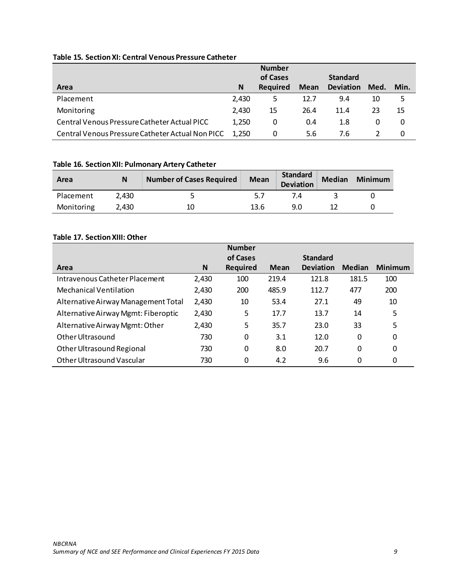## **Table 15. Section XI: Central Venous Pressure Catheter**

|                                                  |       | <b>Number</b>   |      |                  |      |      |
|--------------------------------------------------|-------|-----------------|------|------------------|------|------|
|                                                  |       | of Cases        |      | <b>Standard</b>  |      |      |
| Area                                             | N     | <b>Required</b> | Mean | <b>Deviation</b> | Med. | Min. |
| Placement                                        | 2,430 | 5               | 12.7 | 9.4              | 10   | 5    |
| Monitoring                                       | 2.430 | 15              | 26.4 | 11.4             | 23   | 15   |
| Central Venous Pressure Catheter Actual PICC     | 1,250 | 0               | 0.4  | 1.8              | 0    | 0    |
| Central Venous Pressure Catheter Actual Non PICC | 1.250 | 0               | 5.6  | 7.6              |      | 0    |

# **Table 16. Section XII: Pulmonary Artery Catheter**

| Area       | N     | <b>Number of Cases Required</b> | <b>Mean</b> | Standard<br><b>Deviation</b> | <b>Median</b> | <b>Minimum</b> |
|------------|-------|---------------------------------|-------------|------------------------------|---------------|----------------|
| Placement  | 2.430 |                                 |             |                              |               |                |
| Monitoring | 2.430 | 10                              | 13.6        | 9.0                          |               |                |

# **Table 17. SectionXIII: Other**

|                                     |       | <b>Number</b> |       |                  |               |                |
|-------------------------------------|-------|---------------|-------|------------------|---------------|----------------|
|                                     |       | of Cases      |       | <b>Standard</b>  |               |                |
| Area                                | N     | Required      | Mean  | <b>Deviation</b> | <b>Median</b> | <b>Minimum</b> |
| Intravenous Catheter Placement      | 2,430 | 100           | 219.4 | 121.8            | 181.5         | 100            |
| Mechanical Ventilation              | 2,430 | 200           | 485.9 | 112.7            | 477           | 200            |
| Alternative Airway Management Total | 2,430 | 10            | 53.4  | 27.1             | 49            | 10             |
| Alternative Airway Mgmt: Fiberoptic | 2,430 | 5             | 17.7  | 13.7             | 14            | 5              |
| Alternative Airway Mgmt: Other      | 2,430 | 5             | 35.7  | 23.0             | 33            | 5              |
| Other Ultrasound                    | 730   | 0             | 3.1   | 12.0             | 0             | 0              |
| Other Ultrasound Regional           | 730   | 0             | 8.0   | 20.7             | $\Omega$      | 0              |
| Other Ultrasound Vascular           | 730   | 0             | 4.2   | 9.6              | 0             | 0              |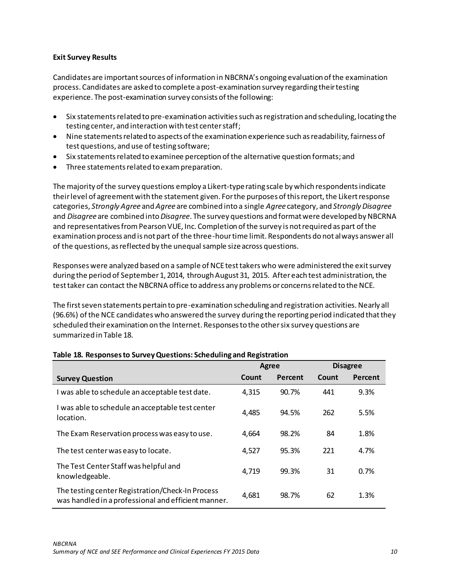## <span id="page-11-0"></span>**Exit Survey Results**

Candidates are important sources of information in NBCRNA's ongoing evaluation of the examination process. Candidates are asked to complete a post-examination survey regarding their testing experience. The post-examination survey consists of the following:

- Six statements related to pre-examination activitiessuch as registration and scheduling, locating the testing center, and interaction with test center staff;
- Nine statements related to aspects of the examination experience such as readability, fairness of test questions, and use of testing software;
- Six statements related to examinee perception of the alternative question formats; and
- Three statements related to exam preparation.

The majority of the survey questions employ a Likert-type rating scale by which respondents indicate their level of agreement with the statement given. For the purposes of this report, the Likert response categories, *Strongly Agree* and *Agree* are combined into a single *Agree* category, and *Strongly Disagree* and *Disagree* are combined into *Disagree*. The survey questions and format were developed by NBCRNA and representatives from Pearson VUE, Inc. Completion of the survey is not required as part of the examination process and is not part of the three-hour time limit. Respondents do not always answer all of the questions, as reflected by the unequal sample size across questions.

Responses were analyzed based on a sample of NCE test takers who were administered the exit survey during the period of September 1, 2014, through August 31, 2015. After each test administration, the test taker can contact the NBCRNA office to address any problems or concerns related to the NCE.

The first seven statements pertain to pre-examination scheduling and registration activities. Nearly all (96.6%) ofthe NCE candidates who answered the survey during the reporting period indicated that they scheduled their examination on the Internet. Responses to the other six survey questions are summarized in Table 18.

|                                                                                                         | <b>Agree</b> |         |       | <b>Disagree</b> |
|---------------------------------------------------------------------------------------------------------|--------------|---------|-------|-----------------|
| <b>Survey Question</b>                                                                                  | Count        | Percent | Count | Percent         |
| I was able to schedule an acceptable test date.                                                         | 4,315        | 90.7%   | 441   | 9.3%            |
| I was able to schedule an acceptable test center<br>location.                                           | 4,485        | 94.5%   | 262   | 5.5%            |
| The Exam Reservation process was easy to use.                                                           | 4,664        | 98.2%   | 84    | 1.8%            |
| The test center was easy to locate.                                                                     | 4,527        | 95.3%   | 221   | 4.7%            |
| The Test Center Staff was helpful and<br>knowledgeable.                                                 | 4,719        | 99.3%   | 31    | 0.7%            |
| The testing center Registration/Check-In Process<br>was handled in a professional and efficient manner. | 4,681        | 98.7%   | 62    | 1.3%            |

## **Table 18. Responses to Survey Questions: Scheduling and Registration**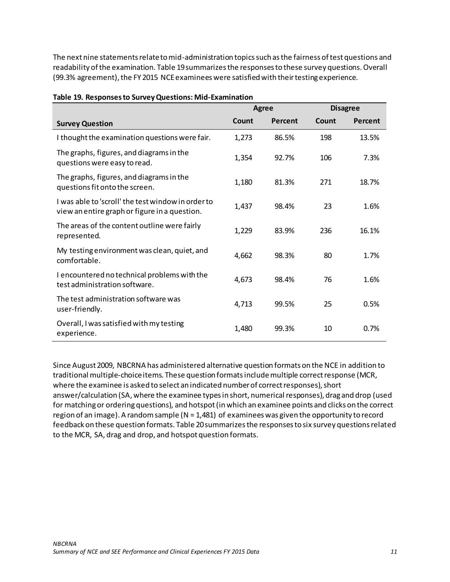The next nine statements relate to mid-administration topics such as the fairness of test questions and readability of the examination. Table 19 summarizes the responses to these survey questions. Overall (99.3% agreement), the FY 2015 NCE examinees were satisfied with their testing experience.

|                                                                                                     | <b>Agree</b> |         |       | <b>Disagree</b> |
|-----------------------------------------------------------------------------------------------------|--------------|---------|-------|-----------------|
| <b>Survey Question</b>                                                                              | Count        | Percent | Count | Percent         |
| I thought the examination questions were fair.                                                      | 1,273        | 86.5%   | 198   | 13.5%           |
| The graphs, figures, and diagrams in the<br>questions were easy to read.                            | 1,354        | 92.7%   | 106   | 7.3%            |
| The graphs, figures, and diagrams in the<br>questions fit onto the screen.                          | 1,180        | 81.3%   | 271   | 18.7%           |
| I was able to 'scroll' the test window in order to<br>view an entire graph or figure in a question. | 1,437        | 98.4%   | 23    | 1.6%            |
| The areas of the content outline were fairly<br>represented.                                        | 1,229        | 83.9%   | 236   | 16.1%           |
| My testing environment was clean, quiet, and<br>comfortable.                                        | 4,662        | 98.3%   | 80    | 1.7%            |
| I encountered no technical problems with the<br>test administration software.                       | 4,673        | 98.4%   | 76    | 1.6%            |
| The test administration software was<br>user-friendly.                                              | 4,713        | 99.5%   | 25    | 0.5%            |
| Overall, I was satisfied with my testing<br>experience.                                             | 1,480        | 99.3%   | 10    | 0.7%            |

### **Table 19. Responses to Survey Questions: Mid-Examination**

Since August 2009, NBCRNA has administered alternative question formats on the NCE in addition to traditional multiple-choice items. These question formats include multiple correct response (MCR, where the examinee is asked to select an indicated number of correct responses), short answer/calculation (SA, where the examinee types in short, numerical responses), drag and drop (used for matching or ordering questions), and hotspot (in which an examinee points and clicks on the correct region of an image). A random sample ( $N = 1,481$ ) of examinees was given the opportunity to record feedback on these question formats. Table 20 summarizes the responses to six survey questions related to the MCR, SA, drag and drop, and hotspot question formats.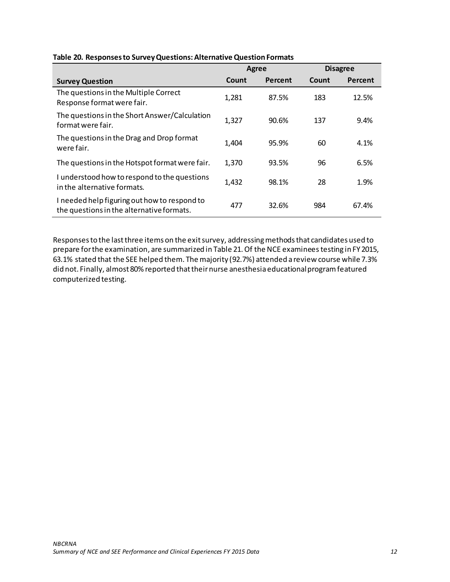|                                                                                           | <b>Agree</b> |         |       | <b>Disagree</b> |
|-------------------------------------------------------------------------------------------|--------------|---------|-------|-----------------|
| <b>Survey Question</b>                                                                    | Count        | Percent | Count | Percent         |
| The questions in the Multiple Correct<br>Response format were fair.                       | 1,281        | 87.5%   | 183   | 12.5%           |
| The questions in the Short Answer/Calculation<br>format were fair.                        | 1,327        | 90.6%   | 137   | 9.4%            |
| The questions in the Drag and Drop format<br>were fair.                                   | 1,404        | 95.9%   | 60    | 4.1%            |
| The questions in the Hotspot format were fair.                                            | 1,370        | 93.5%   | 96    | 6.5%            |
| I understood how to respond to the questions<br>in the alternative formats.               | 1,432        | 98.1%   | 28    | 1.9%            |
| I needed help figuring out how to respond to<br>the questions in the alternative formats. | 477          | 32.6%   | 984   | 67.4%           |

### **Table 20. Responses to Survey Questions: Alternative Question Formats**

Responses to the lastthree items on the exit survey, addressing methods that candidates used to prepare for the examination, are summarized in Table 21. Of the NCE examinees testing in FY 2015, 63.1% stated that the SEE helped them. The majority (92.7%) attended a review course while 7.3% did not. Finally, almost 80% reported that their nurse anesthesia educational program featured computerized testing.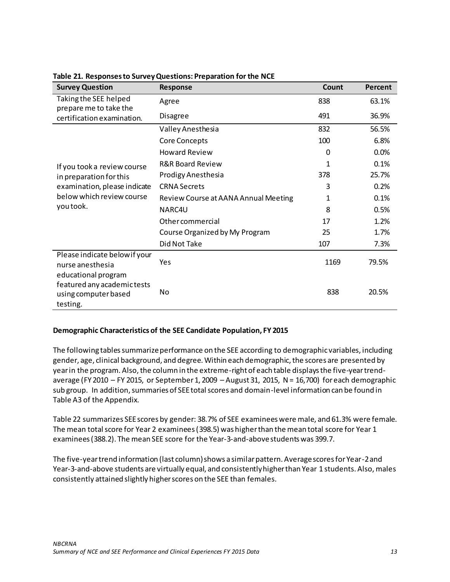| <b>Survey Question</b>                                                                 | Response                             | Count | Percent |
|----------------------------------------------------------------------------------------|--------------------------------------|-------|---------|
| Taking the SEE helped<br>prepare me to take the                                        | Agree                                | 838   | 63.1%   |
| certification examination.                                                             | Disagree                             | 491   | 36.9%   |
|                                                                                        | Valley Anesthesia                    | 832   | 56.5%   |
|                                                                                        | Core Concepts                        | 100   | 6.8%    |
|                                                                                        | <b>Howard Review</b>                 | 0     | 0.0%    |
| If you took a review course                                                            | <b>R&amp;R Board Review</b>          | 1     | 0.1%    |
| in preparation for this<br>examination, please indicate                                | Prodigy Anesthesia                   | 378   | 25.7%   |
|                                                                                        | <b>CRNA Secrets</b>                  | 3     | 0.2%    |
| below which review course                                                              | Review Course at AANA Annual Meeting | 1     | 0.1%    |
| you took.                                                                              | NARC4U                               | 8     | 0.5%    |
|                                                                                        | <b>Other commercial</b>              | 17    | 1.2%    |
|                                                                                        | Course Organized by My Program       | 25    | 1.7%    |
|                                                                                        | Did Not Take                         | 107   | 7.3%    |
| Please indicate below if your<br>nurse anesthesia                                      | Yes                                  | 1169  | 79.5%   |
| educational program<br>featured any academic tests<br>using computer based<br>testing. | No                                   | 838   | 20.5%   |

### **Table 21. Responses to Survey Questions: Preparation for the NCE**

## <span id="page-14-0"></span>**Demographic Characteristics of the SEE Candidate Population, FY 2015**

The following tables summarize performance on the SEE according to demographic variables, including gender, age, clinical background, and degree. Within each demographic, the scores are presented by year in the program. Also, the column in the extreme-right of each table displays the five-year trendaverage (FY2010 – FY 2015, or September 1, 2009 – August 31, 2015, N = 16,700) for each demographic sub group. In addition, summaries of SEE total scores and domain-level information can be found in Table A3 of the Appendix.

Table 22 summarizes SEE scores by gender: 38.7% of SEE examinees were male, and 61.3% were female. The mean total score for Year 2 examinees (398.5) was higher than the mean total score for Year 1 examinees (388.2). The mean SEE score for the Year-3-and-abovestudents was 399.7.

The five-year trend information (last column) shows a similar pattern. Average scores for Year-2 and Year-3-and-above students are virtually equal, and consistently higher than Year 1 students. Also, males consistently attained slightly higher scores on the SEE than females.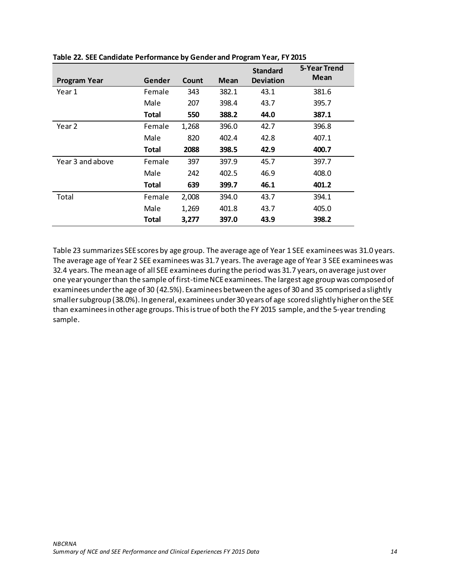|                     |              |       |             | <b>Standard</b>  | 5-Year Trend<br><b>Mean</b> |
|---------------------|--------------|-------|-------------|------------------|-----------------------------|
| <b>Program Year</b> | Gender       | Count | <b>Mean</b> | <b>Deviation</b> |                             |
| Year 1              | Female       | 343   | 382.1       | 43.1             | 381.6                       |
|                     | Male         | 207   | 398.4       | 43.7             | 395.7                       |
|                     | <b>Total</b> | 550   | 388.2       | 44.0             | 387.1                       |
| Year 2              | Female       | 1,268 | 396.0       | 42.7             | 396.8                       |
|                     | Male         | 820   | 402.4       | 42.8             | 407.1                       |
|                     | Total        | 2088  | 398.5       | 42.9             | 400.7                       |
| Year 3 and above    | Female       | 397   | 397.9       | 45.7             | 397.7                       |
|                     | Male         | 242   | 402.5       | 46.9             | 408.0                       |
|                     | <b>Total</b> | 639   | 399.7       | 46.1             | 401.2                       |
| Total               | Female       | 2,008 | 394.0       | 43.7             | 394.1                       |
|                     | Male         | 1,269 | 401.8       | 43.7             | 405.0                       |
|                     | Total        | 3,277 | 397.0       | 43.9             | 398.2                       |

Table 23 summarizes SEE scores by age group. The average age of Year 1 SEE examinees was 31.0 years. The average age of Year 2 SEE examinees was 31.7 years. The average age of Year 3 SEE examinees was 32.4 years. The mean age of all SEE examinees during the period was 31.7 years, on average just over one year younger than the sample of first-time NCE examinees. The largest age group was composed of examinees under the age of 30 (42.5%). Examinees between the ages of 30 and 35 comprised a slightly smaller subgroup (38.0%). In general, examinees under 30 years of age scored slightly higher on the SEE than examineesin other age groups. This is true of both the FY 2015 sample, and the 5-year trending sample.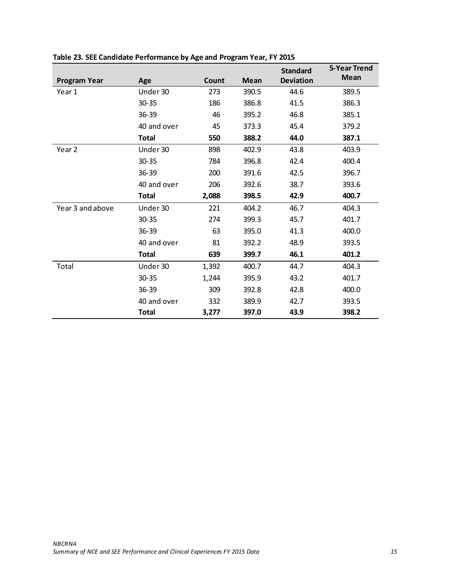|                     |              |       |             | <b>Standard</b>  | 5-Year Trend |
|---------------------|--------------|-------|-------------|------------------|--------------|
| <b>Program Year</b> | Age          | Count | <b>Mean</b> | <b>Deviation</b> | <b>Mean</b>  |
| Year 1              | Under 30     | 273   | 390.5       | 44.6             | 389.5        |
|                     | $30 - 35$    | 186   | 386.8       | 41.5             | 386.3        |
|                     | 36-39        | 46    | 395.2       | 46.8             | 385.1        |
|                     | 40 and over  | 45    | 373.3       | 45.4             | 379.2        |
|                     | <b>Total</b> | 550   | 388.2       | 44.0             | 387.1        |
| Year 2              | Under 30     | 898   | 402.9       | 43.8             | 403.9        |
|                     | $30 - 35$    | 784   | 396.8       | 42.4             | 400.4        |
|                     | $36 - 39$    | 200   | 391.6       | 42.5             | 396.7        |
|                     | 40 and over  | 206   | 392.6       | 38.7             | 393.6        |
|                     | <b>Total</b> | 2,088 | 398.5       | 42.9             | 400.7        |
| Year 3 and above    | Under 30     | 221   | 404.2       | 46.7             | 404.3        |
|                     | $30 - 35$    | 274   | 399.3       | 45.7             | 401.7        |
|                     | 36-39        | 63    | 395.0       | 41.3             | 400.0        |
|                     | 40 and over  | 81    | 392.2       | 48.9             | 393.5        |
|                     | <b>Total</b> | 639   | 399.7       | 46.1             | 401.2        |
| Total               | Under 30     | 1,392 | 400.7       | 44.7             | 404.3        |
|                     | $30 - 35$    | 1,244 | 395.9       | 43.2             | 401.7        |
|                     | $36 - 39$    | 309   | 392.8       | 42.8             | 400.0        |
|                     | 40 and over  | 332   | 389.9       | 42.7             | 393.5        |
|                     | <b>Total</b> | 3,277 | 397.0       | 43.9             | 398.2        |

# **Table 23. SEE Candidate Performance by Age and Program Year, FY 2015**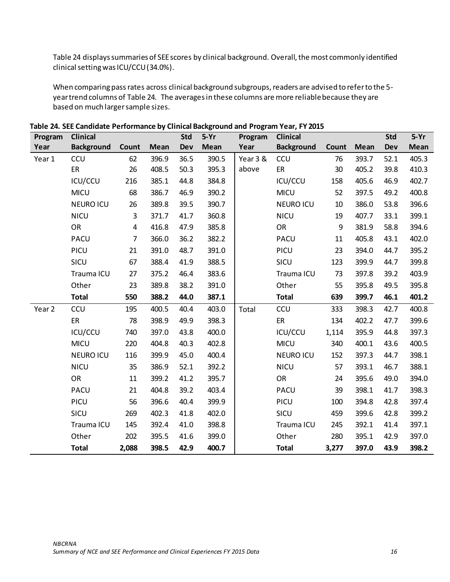Table 24 displays summaries of SEE scores by clinical background. Overall, the most commonly identified clinical setting was ICU/CCU (34.0%).

When comparing pass rates across clinical background subgroups, readers are advised to refer to the 5year trend columns of Table 24. The averages in these columns are more reliable because they are based on much larger sample sizes.

| Program           | <b>Clinical</b>   |                |             | <b>Std</b> | $5-Yr$ | Program  | <b>Clinical</b>   |       |             | <b>Std</b> | $5-Yr$ |
|-------------------|-------------------|----------------|-------------|------------|--------|----------|-------------------|-------|-------------|------------|--------|
| Year              | <b>Background</b> | Count          | <b>Mean</b> | <b>Dev</b> | Mean   | Year     | <b>Background</b> | Count | <b>Mean</b> | <b>Dev</b> | Mean   |
| Year 1            | <b>CCU</b>        | 62             | 396.9       | 36.5       | 390.5  | Year 3 & | <b>CCU</b>        | 76    | 393.7       | 52.1       | 405.3  |
|                   | ER                | 26             | 408.5       | 50.3       | 395.3  | above    | ER                | 30    | 405.2       | 39.8       | 410.3  |
|                   | ICU/CCU           | 216            | 385.1       | 44.8       | 384.8  |          | ICU/CCU           | 158   | 405.6       | 46.9       | 402.7  |
|                   | <b>MICU</b>       | 68             | 386.7       | 46.9       | 390.2  |          | <b>MICU</b>       | 52    | 397.5       | 49.2       | 400.8  |
|                   | <b>NEURO ICU</b>  | 26             | 389.8       | 39.5       | 390.7  |          | <b>NEURO ICU</b>  | 10    | 386.0       | 53.8       | 396.6  |
|                   | <b>NICU</b>       | $\overline{3}$ | 371.7       | 41.7       | 360.8  |          | <b>NICU</b>       | 19    | 407.7       | 33.1       | 399.1  |
|                   | OR                | $\overline{4}$ | 416.8       | 47.9       | 385.8  |          | OR                | 9     | 381.9       | 58.8       | 394.6  |
|                   | PACU              | $\overline{7}$ | 366.0       | 36.2       | 382.2  |          | PACU              | 11    | 405.8       | 43.1       | 402.0  |
|                   | PICU              | 21             | 391.0       | 48.7       | 391.0  |          | PICU              | 23    | 394.0       | 44.7       | 395.2  |
|                   | SICU              | 67             | 388.4       | 41.9       | 388.5  |          | SICU              | 123   | 399.9       | 44.7       | 399.8  |
|                   | Trauma ICU        | 27             | 375.2       | 46.4       | 383.6  |          | Trauma ICU        | 73    | 397.8       | 39.2       | 403.9  |
|                   | Other             | 23             | 389.8       | 38.2       | 391.0  |          | Other             | 55    | 395.8       | 49.5       | 395.8  |
|                   | <b>Total</b>      | 550            | 388.2       | 44.0       | 387.1  |          | <b>Total</b>      | 639   | 399.7       | 46.1       | 401.2  |
| Year <sub>2</sub> | CCU               | 195            | 400.5       | 40.4       | 403.0  | Total    | CCU               | 333   | 398.3       | 42.7       | 400.8  |
|                   | ER                | 78             | 398.9       | 49.9       | 398.3  |          | ER                | 134   | 402.2       | 47.7       | 399.6  |
|                   | ICU/CCU           | 740            | 397.0       | 43.8       | 400.0  |          | ICU/CCU           | 1,114 | 395.9       | 44.8       | 397.3  |
|                   | <b>MICU</b>       | 220            | 404.8       | 40.3       | 402.8  |          | <b>MICU</b>       | 340   | 400.1       | 43.6       | 400.5  |
|                   | <b>NEURO ICU</b>  | 116            | 399.9       | 45.0       | 400.4  |          | <b>NEURO ICU</b>  | 152   | 397.3       | 44.7       | 398.1  |
|                   | <b>NICU</b>       | 35             | 386.9       | 52.1       | 392.2  |          | <b>NICU</b>       | 57    | 393.1       | 46.7       | 388.1  |
|                   | <b>OR</b>         | 11             | 399.2       | 41.2       | 395.7  |          | OR                | 24    | 395.6       | 49.0       | 394.0  |
|                   | <b>PACU</b>       | 21             | 404.8       | 39.2       | 403.4  |          | <b>PACU</b>       | 39    | 398.1       | 41.7       | 398.3  |
|                   | PICU              | 56             | 396.6       | 40.4       | 399.9  |          | PICU              | 100   | 394.8       | 42.8       | 397.4  |
|                   | SICU              | 269            | 402.3       | 41.8       | 402.0  |          | SICU              | 459   | 399.6       | 42.8       | 399.2  |
|                   | Trauma ICU        | 145            | 392.4       | 41.0       | 398.8  |          | Trauma ICU        | 245   | 392.1       | 41.4       | 397.1  |
|                   | Other             | 202            | 395.5       | 41.6       | 399.0  |          | Other             | 280   | 395.1       | 42.9       | 397.0  |
|                   | <b>Total</b>      | 2,088          | 398.5       | 42.9       | 400.7  |          | <b>Total</b>      | 3,277 | 397.0       | 43.9       | 398.2  |

**Table 24. SEE Candidate Performance by Clinical Background and Program Year, FY 2015**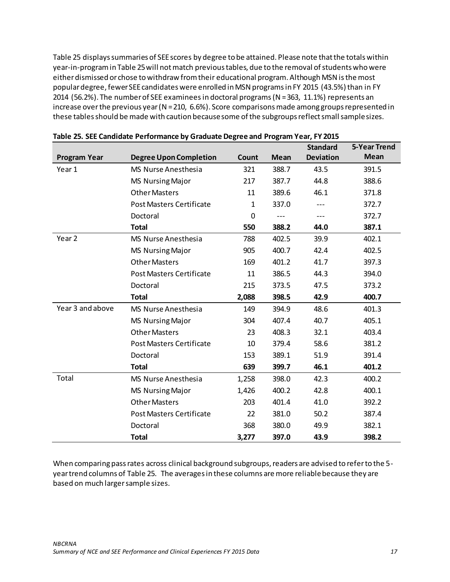Table 25 displays summaries of SEE scores by degree to be attained. Please note that the totals within year-in-program in Table 25 will not match previous tables, due to the removal of students who were either dismissed or chose to withdraw from their educational program. Although MSN isthe most popular degree, fewer SEE candidates were enrolled in MSN programs in FY 2015 (43.5%) than in FY 2014 (56.2%). The number of SEE examinees in doctoral programs (N = 363, 11.1%) represents an increase over the previous year (N = 210, 6.6%). Score comparisons made among groups represented in these tables should be made with caution because some of the subgroups reflect small sample sizes.

|                     |                                 |              |             | <b>Standard</b>  | <b>5-Year Trend</b> |
|---------------------|---------------------------------|--------------|-------------|------------------|---------------------|
| <b>Program Year</b> | <b>Degree Upon Completion</b>   | Count        | <b>Mean</b> | <b>Deviation</b> | <b>Mean</b>         |
| Year 1              | <b>MS Nurse Anesthesia</b>      | 321          | 388.7       | 43.5             | 391.5               |
|                     | <b>MS Nursing Major</b>         | 217          | 387.7       | 44.8             | 388.6               |
|                     | <b>Other Masters</b>            | 11           | 389.6       | 46.1             | 371.8               |
|                     | <b>Post Masters Certificate</b> | $\mathbf{1}$ | 337.0       |                  | 372.7               |
|                     | Doctoral                        | $\mathbf 0$  |             | ---              | 372.7               |
|                     | <b>Total</b>                    | 550          | 388.2       | 44.0             | 387.1               |
| Year <sub>2</sub>   | <b>MS Nurse Anesthesia</b>      | 788          | 402.5       | 39.9             | 402.1               |
|                     | <b>MS Nursing Major</b>         | 905          | 400.7       | 42.4             | 402.5               |
|                     | <b>Other Masters</b>            | 169          | 401.2       | 41.7             | 397.3               |
|                     | <b>Post Masters Certificate</b> | 11           | 386.5       | 44.3             | 394.0               |
|                     | Doctoral                        | 215          | 373.5       | 47.5             | 373.2               |
|                     | <b>Total</b>                    | 2,088        | 398.5       | 42.9             | 400.7               |
| Year 3 and above    | <b>MS Nurse Anesthesia</b>      | 149          | 394.9       | 48.6             | 401.3               |
|                     | <b>MS Nursing Major</b>         | 304          | 407.4       | 40.7             | 405.1               |
|                     | <b>Other Masters</b>            | 23           | 408.3       | 32.1             | 403.4               |
|                     | <b>Post Masters Certificate</b> | 10           | 379.4       | 58.6             | 381.2               |
|                     | Doctoral                        | 153          | 389.1       | 51.9             | 391.4               |
|                     | <b>Total</b>                    | 639          | 399.7       | 46.1             | 401.2               |
| Total               | <b>MS Nurse Anesthesia</b>      | 1,258        | 398.0       | 42.3             | 400.2               |
|                     | <b>MS Nursing Major</b>         | 1,426        | 400.2       | 42.8             | 400.1               |
|                     | <b>Other Masters</b>            | 203          | 401.4       | 41.0             | 392.2               |
|                     | <b>Post Masters Certificate</b> | 22           | 381.0       | 50.2             | 387.4               |
|                     | Doctoral                        | 368          | 380.0       | 49.9             | 382.1               |
|                     | <b>Total</b>                    | 3,277        | 397.0       | 43.9             | 398.2               |

When comparing pass rates across clinical background subgroups, readers are advised to refer to the 5 year trend columns of Table 25. The averages in these columns are more reliable because they are based on much larger sample sizes.